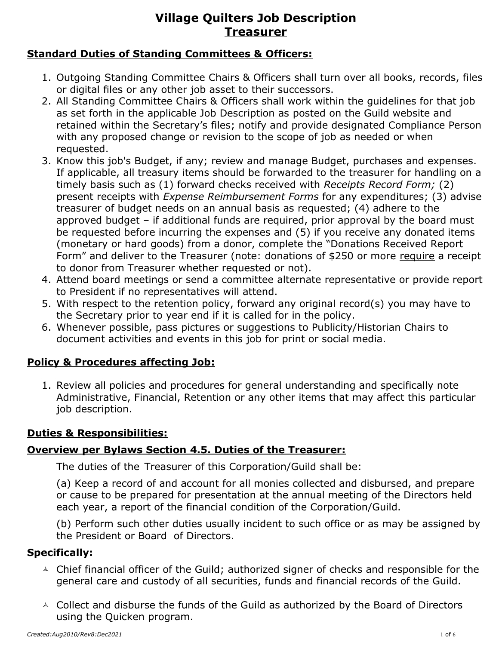## **Standard Duties of Standing Committees & Officers:**

- 1. Outgoing Standing Committee Chairs & Officers shall turn over all books, records, files or digital files or any other job asset to their successors.
- 2. All Standing Committee Chairs & Officers shall work within the guidelines for that job as set forth in the applicable Job Description as posted on the Guild website and retained within the Secretary's files; notify and provide designated Compliance Person with any proposed change or revision to the scope of job as needed or when requested.
- 3. Know this job's Budget, if any; review and manage Budget, purchases and expenses. If applicable, all treasury items should be forwarded to the treasurer for handling on a timely basis such as (1) forward checks received with *Receipts Record Form;* (2) present receipts with *Expense Reimbursement Forms* for any expenditures; (3) advise treasurer of budget needs on an annual basis as requested; (4) adhere to the approved budget – if additional funds are required, prior approval by the board must be requested before incurring the expenses and (5) if you receive any donated items (monetary or hard goods) from a donor, complete the "Donations Received Report Form" and deliver to the Treasurer (note: donations of \$250 or more require a receipt to donor from Treasurer whether requested or not).
- 4. Attend board meetings or send a committee alternate representative or provide report to President if no representatives will attend.
- 5. With respect to the retention policy, forward any original record(s) you may have to the Secretary prior to year end if it is called for in the policy.
- 6. Whenever possible, pass pictures or suggestions to Publicity/Historian Chairs to document activities and events in this job for print or social media.

## **Policy & Procedures affecting Job:**

1. Review all policies and procedures for general understanding and specifically note Administrative, Financial, Retention or any other items that may affect this particular job description.

## **Duties & Responsibilities:**

## **Overview per Bylaws Section 4.5. Duties of the Treasurer:**

The duties of the Treasurer of this Corporation/Guild shall be:

(a) Keep a record of and account for all monies collected and disbursed, and prepare or cause to be prepared for presentation at the annual meeting of the Directors held each year, a report of the financial condition of the Corporation/Guild.

(b) Perform such other duties usually incident to such office or as may be assigned by the President or Board of Directors.

## **Specifically:**

- $\triangle$  Chief financial officer of the Guild; authorized signer of checks and responsible for the general care and custody of all securities, funds and financial records of the Guild.
- $\triangle$  Collect and disburse the funds of the Guild as authorized by the Board of Directors using the Quicken program.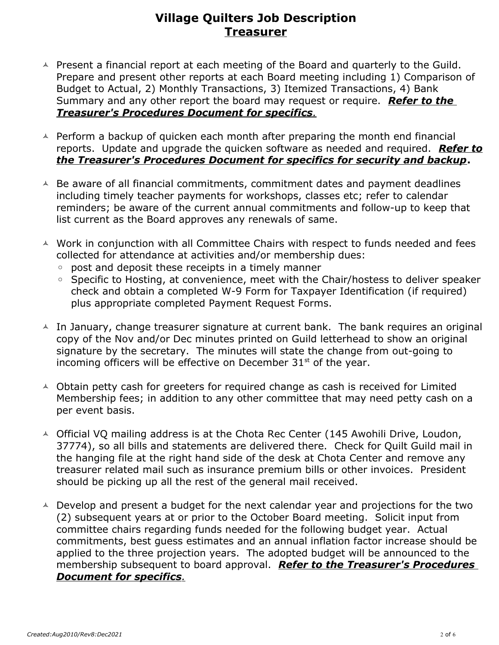- $\triangle$  Present a financial report at each meeting of the Board and quarterly to the Guild. Prepare and present other reports at each Board meeting including 1) Comparison of Budget to Actual, 2) Monthly Transactions, 3) Itemized Transactions, 4) Bank Summary and any other report the board may request or require. *Refer to the Treasurer's Procedures Document for specifics.*
- $\triangle$  Perform a backup of quicken each month after preparing the month end financial reports. Update and upgrade the quicken software as needed and required. *Refer to the Treasurer's Procedures Document for specifics for security and backup***.**
- $\triangle$  Be aware of all financial commitments, commitment dates and payment deadlines including timely teacher payments for workshops, classes etc; refer to calendar reminders; be aware of the current annual commitments and follow-up to keep that list current as the Board approves any renewals of same.
- A Work in conjunction with all Committee Chairs with respect to funds needed and fees collected for attendance at activities and/or membership dues:
	- post and deposit these receipts in a timely manner
	- Specific to Hosting, at convenience, meet with the Chair/hostess to deliver speaker check and obtain a completed W-9 Form for Taxpayer Identification (if required) plus appropriate completed Payment Request Forms.
- $\triangle$  In January, change treasurer signature at current bank. The bank requires an original copy of the Nov and/or Dec minutes printed on Guild letterhead to show an original signature by the secretary. The minutes will state the change from out-going to incoming officers will be effective on December  $31<sup>st</sup>$  of the year.
- $\triangle$  Obtain petty cash for greeters for required change as cash is received for Limited Membership fees; in addition to any other committee that may need petty cash on a per event basis.
- $\triangle$  Official VQ mailing address is at the Chota Rec Center (145 Awohili Drive, Loudon, 37774), so all bills and statements are delivered there. Check for Quilt Guild mail in the hanging file at the right hand side of the desk at Chota Center and remove any treasurer related mail such as insurance premium bills or other invoices. President should be picking up all the rest of the general mail received.
- $\triangle$  Develop and present a budget for the next calendar year and projections for the two (2) subsequent years at or prior to the October Board meeting. Solicit input from committee chairs regarding funds needed for the following budget year. Actual commitments, best guess estimates and an annual inflation factor increase should be applied to the three projection years. The adopted budget will be announced to the membership subsequent to board approval. *Refer to the Treasurer's Procedures Document for specifics.*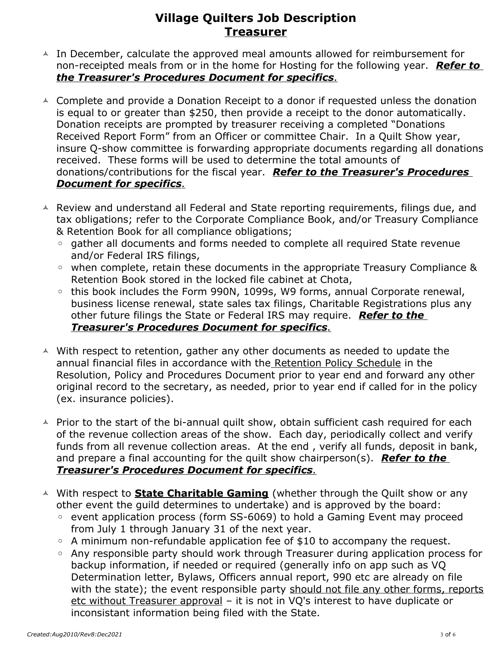- $\triangle$  In December, calculate the approved meal amounts allowed for reimbursement for non-receipted meals from or in the home for Hosting for the following year. *Refer to the Treasurer's Procedures Document for specifics.*
- $\triangle$  Complete and provide a Donation Receipt to a donor if requested unless the donation is equal to or greater than \$250, then provide a receipt to the donor automatically. Donation receipts are prompted by treasurer receiving a completed "Donations Received Report Form" from an Officer or committee Chair. In a Quilt Show year, insure Q-show committee is forwarding appropriate documents regarding all donations received. These forms will be used to determine the total amounts of donations/contributions for the fiscal year. *Refer to the Treasurer's Procedures Document for specifics.*
- $\triangle$  Review and understand all Federal and State reporting requirements, filings due, and tax obligations; refer to the Corporate Compliance Book, and/or Treasury Compliance & Retention Book for all compliance obligations;
	- gather all documents and forms needed to complete all required State revenue and/or Federal IRS filings,
	- when complete, retain these documents in the appropriate Treasury Compliance & Retention Book stored in the locked file cabinet at Chota,
	- this book includes the Form 990N, 1099s, W9 forms, annual Corporate renewal, business license renewal, state sales tax filings, Charitable Registrations plus any other future filings the State or Federal IRS may require. *Refer to the Treasurer's Procedures Document for specifics.*
- $\triangle$  With respect to retention, gather any other documents as needed to update the annual financial files in accordance with the Retention Policy Schedule in the Resolution, Policy and Procedures Document prior to year end and forward any other original record to the secretary, as needed, prior to year end if called for in the policy (ex. insurance policies).
- $\triangle$  Prior to the start of the bi-annual quilt show, obtain sufficient cash required for each of the revenue collection areas of the show. Each day, periodically collect and verify funds from all revenue collection areas. At the end , verify all funds, deposit in bank, and prepare a final accounting for the quilt show chairperson(s). *Refer to the Treasurer's Procedures Document for specifics.*
- With respect to **State Charitable Gaming** (whether through the Quilt show or any other event the guild determines to undertake) and is approved by the board:
	- event application process (form SS-6069) to hold a Gaming Event may proceed from July 1 through January 31 of the next year.
	- A minimum non-refundable application fee of \$10 to accompany the request.
	- Any responsible party should work through Treasurer during application process for backup information, if needed or required (generally info on app such as VQ Determination letter, Bylaws, Officers annual report, 990 etc are already on file with the state); the event responsible party should not file any other forms, reports etc without Treasurer approval – it is not in VQ's interest to have duplicate or inconsistant information being filed with the State.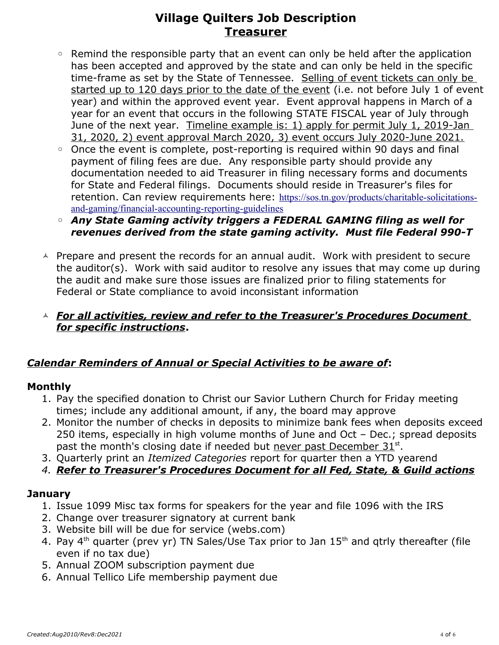- Remind the responsible party that an event can only be held after the application has been accepted and approved by the state and can only be held in the specific time-frame as set by the State of Tennessee. Selling of event tickets can only be started up to 120 days prior to the date of the event (i.e. not before July 1 of event year) and within the approved event year. Event approval happens in March of a year for an event that occurs in the following STATE FISCAL year of July through June of the next year. Timeline example is: 1) apply for permit July 1, 2019-Jan 31, 2020, 2) event approval March 2020, 3) event occurs July 2020-June 2021.
- Once the event is complete, post-reporting is required within 90 days and final payment of filing fees are due. Any responsible party should provide any documentation needed to aid Treasurer in filing necessary forms and documents for State and Federal filings. Documents should reside in Treasurer's files for retention. Can review requirements here: [https://sos.tn.gov/products/charitable-solicitations](https://sos.tn.gov/products/charitable-solicitations-and-gaming/financial-)  [and-gaming/financial-](https://sos.tn.gov/products/charitable-solicitations-and-gaming/financial-)[accounting-reporting-guidelines](https://sos.tn.gov/products/charitable-solicitations-and-gaming/financial-accounting-reporting-guidelines)
- *Any State Gaming activity triggers a FEDERAL GAMING filing as well for revenues derived from the state gaming activity. Must file Federal 990-T*
- $\triangle$  Prepare and present the records for an annual audit. Work with president to secure the auditor(s). Work with said auditor to resolve any issues that may come up during the audit and make sure those issues are finalized prior to filing statements for Federal or State compliance to avoid inconsistant information

## *For all activities, review and refer to the Treasurer's Procedures Document for specific instructions***.**

## *Calendar Reminders of Annual or Special Activities to be aware of***:**

## **Monthly**

- 1. Pay the specified donation to Christ our Savior Luthern Church for Friday meeting times; include any additional amount, if any, the board may approve
- 2. Monitor the number of checks in deposits to minimize bank fees when deposits exceed 250 items, especially in high volume months of June and Oct – Dec.; spread deposits past the month's closing date if needed but never past December 31st.
- 3. Quarterly print an *Itemized Categories* report for quarter then a YTD yearend
- *4. Refer to Treasurer's Procedures Document for all Fed, State, & Guild actions*

## **January**

- 1. Issue 1099 Misc tax forms for speakers for the year and file 1096 with the IRS
- 2. Change over treasurer signatory at current bank
- 3. Website bill will be due for service (webs.com)
- 4. Pay  $4<sup>th</sup>$  quarter (prev yr) TN Sales/Use Tax prior to Jan  $15<sup>th</sup>$  and qtrly thereafter (file even if no tax due)
- 5. Annual ZOOM subscription payment due
- 6. Annual Tellico Life membership payment due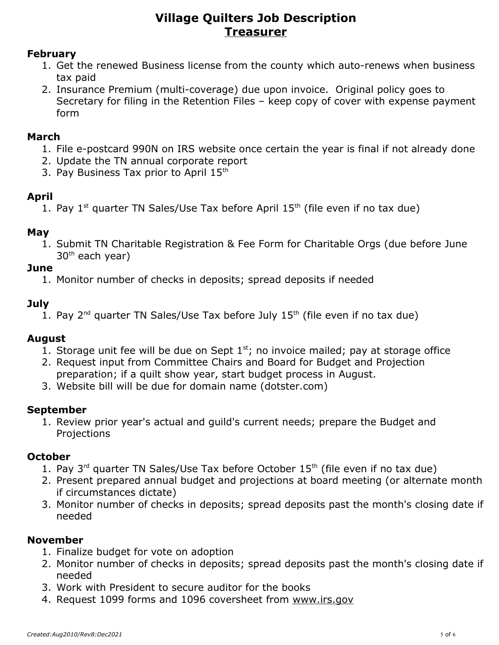#### **February**

- 1. Get the renewed Business license from the county which auto-renews when business tax paid
- 2. Insurance Premium (multi-coverage) due upon invoice. Original policy goes to Secretary for filing in the Retention Files – keep copy of cover with expense payment form

#### **March**

- 1. File e-postcard 990N on IRS website once certain the year is final if not already done
- 2. Update the TN annual corporate report
- 3. Pay Business Tax prior to April 15<sup>th</sup>

## **April**

1. Pay  $1^{st}$  quarter TN Sales/Use Tax before April  $15^{th}$  (file even if no tax due)

## **May**

1. Submit TN Charitable Registration & Fee Form for Charitable Orgs (due before June 30th each year)

## **June**

1. Monitor number of checks in deposits; spread deposits if needed

## **July**

1. Pay  $2^{nd}$  quarter TN Sales/Use Tax before July  $15^{th}$  (file even if no tax due)

## **August**

- 1. Storage unit fee will be due on Sept  $1<sup>st</sup>$ ; no invoice mailed; pay at storage office
- 2. Request input from Committee Chairs and Board for Budget and Projection
- preparation; if a quilt show year, start budget process in August.
- 3. Website bill will be due for domain name (dotster.com)

## **September**

1. Review prior year's actual and guild's current needs; prepare the Budget and Projections

## **October**

- 1. Pay  $3^{rd}$  quarter TN Sales/Use Tax before October  $15^{th}$  (file even if no tax due)
- 2. Present prepared annual budget and projections at board meeting (or alternate month if circumstances dictate)
- 3. Monitor number of checks in deposits; spread deposits past the month's closing date if needed

## **November**

- 1. Finalize budget for vote on adoption
- 2. Monitor number of checks in deposits; spread deposits past the month's closing date if needed
- 3. Work with President to secure auditor for the books
- 4. Request 1099 forms and 1096 coversheet from [www.irs.gov](http://www.irs.gov/)